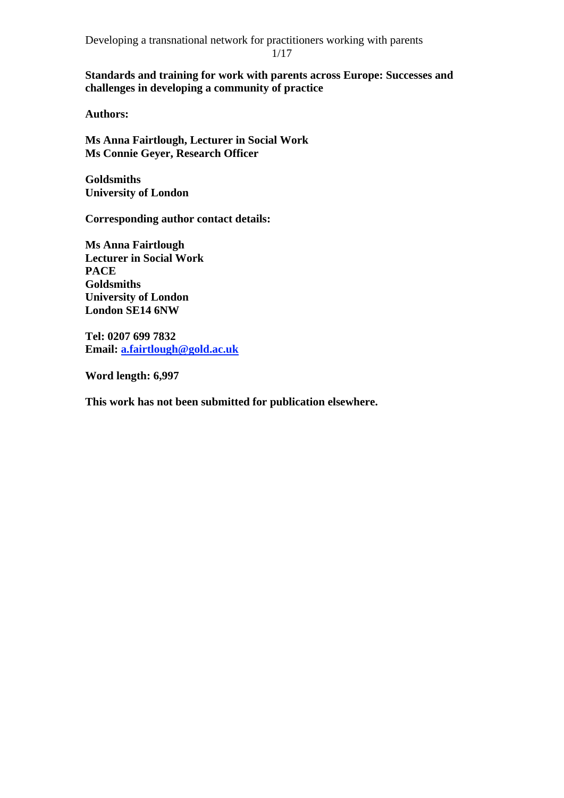Developing a transnational network for practitioners working with parents 1/17

**Standards and training for work with parents across Europe: Successes and challenges in developing a community of practice** 

**Authors:** 

**Ms Anna Fairtlough, Lecturer in Social Work Ms Connie Geyer, Research Officer** 

**Goldsmiths University of London** 

**Corresponding author contact details:** 

**Ms Anna Fairtlough Lecturer in Social Work PACE Goldsmiths University of London London SE14 6NW** 

**Tel: 0207 699 7832 Email: a.fairtlough@gold.ac.uk**

**Word length: 6,997** 

**This work has not been submitted for publication elsewhere.**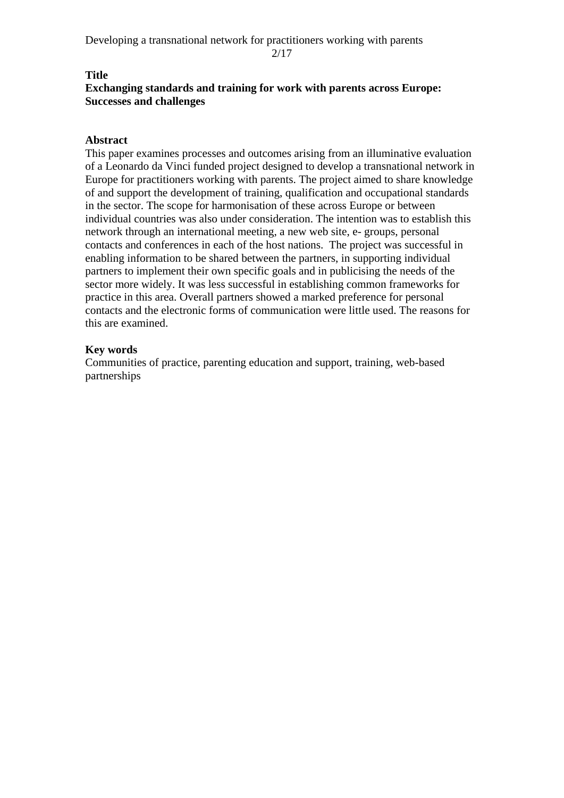Developing a transnational network for practitioners working with parents 2/17

### **Title**

# **Exchanging standards and training for work with parents across Europe: Successes and challenges**

### **Abstract**

This paper examines processes and outcomes arising from an illuminative evaluation of a Leonardo da Vinci funded project designed to develop a transnational network in Europe for practitioners working with parents. The project aimed to share knowledge of and support the development of training, qualification and occupational standards in the sector. The scope for harmonisation of these across Europe or between individual countries was also under consideration. The intention was to establish this network through an international meeting, a new web site, e- groups, personal contacts and conferences in each of the host nations. The project was successful in enabling information to be shared between the partners, in supporting individual partners to implement their own specific goals and in publicising the needs of the sector more widely. It was less successful in establishing common frameworks for practice in this area. Overall partners showed a marked preference for personal contacts and the electronic forms of communication were little used. The reasons for this are examined.

# **Key words**

Communities of practice, parenting education and support, training, web-based partnerships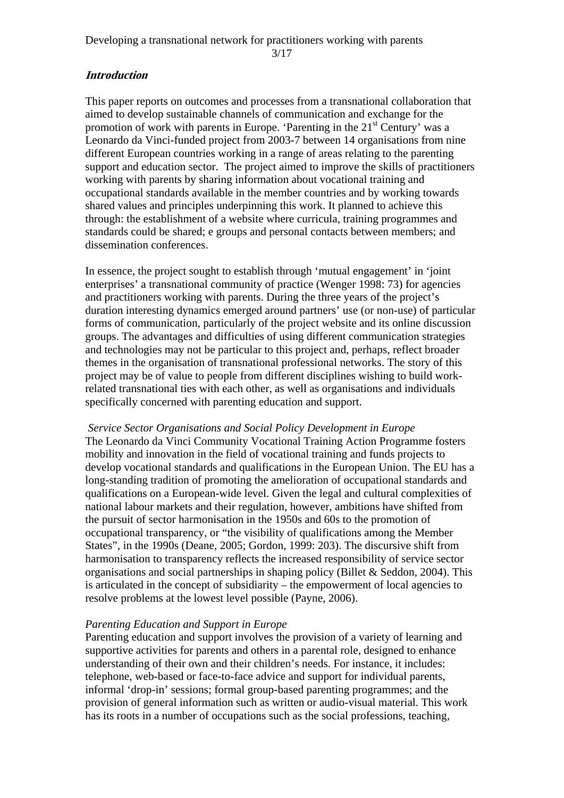# **Introduction**

This paper reports on outcomes and processes from a transnational collaboration that aimed to develop sustainable channels of communication and exchange for the promotion of work with parents in Europe. 'Parenting in the  $21<sup>st</sup>$  Century' was a Leonardo da Vinci-funded project from 2003-7 between 14 organisations from nine different European countries working in a range of areas relating to the parenting support and education sector. The project aimed to improve the skills of practitioners working with parents by sharing information about vocational training and occupational standards available in the member countries and by working towards shared values and principles underpinning this work. It planned to achieve this through: the establishment of a website where curricula, training programmes and standards could be shared; e groups and personal contacts between members; and dissemination conferences.

In essence, the project sought to establish through 'mutual engagement' in 'joint enterprises' a transnational community of practice (Wenger 1998: 73) for agencies and practitioners working with parents. During the three years of the project's duration interesting dynamics emerged around partners' use (or non-use) of particular forms of communication, particularly of the project website and its online discussion groups. The advantages and difficulties of using different communication strategies and technologies may not be particular to this project and, perhaps, reflect broader themes in the organisation of transnational professional networks. The story of this project may be of value to people from different disciplines wishing to build workrelated transnational ties with each other, as well as organisations and individuals specifically concerned with parenting education and support.

*Service Sector Organisations and Social Policy Development in Europe*  The Leonardo da Vinci Community Vocational Training Action Programme fosters

mobility and innovation in the field of vocational training and funds projects to develop vocational standards and qualifications in the European Union. The EU has a long-standing tradition of promoting the amelioration of occupational standards and qualifications on a European-wide level. Given the legal and cultural complexities of national labour markets and their regulation, however, ambitions have shifted from the pursuit of sector harmonisation in the 1950s and 60s to the promotion of occupational transparency, or "the visibility of qualifications among the Member States", in the 1990s (Deane, 2005; Gordon, 1999: 203). The discursive shift from harmonisation to transparency reflects the increased responsibility of service sector organisations and social partnerships in shaping policy (Billet & Seddon, 2004). This is articulated in the concept of subsidiarity – the empowerment of local agencies to resolve problems at the lowest level possible (Payne, 2006).

# *Parenting Education and Support in Europe*

Parenting education and support involves the provision of a variety of learning and supportive activities for parents and others in a parental role, designed to enhance understanding of their own and their children's needs. For instance, it includes: telephone, web-based or face-to-face advice and support for individual parents, informal 'drop-in' sessions; formal group-based parenting programmes; and the provision of general information such as written or audio-visual material. This work has its roots in a number of occupations such as the social professions, teaching,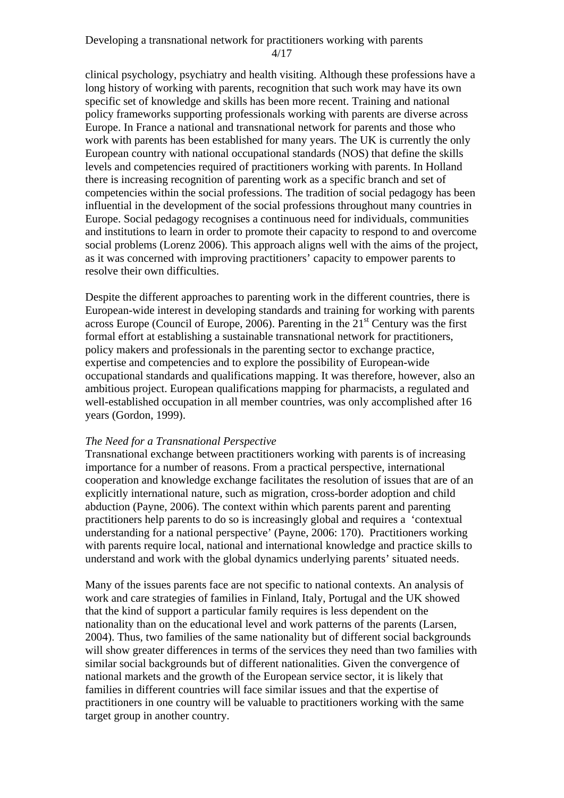## Developing a transnational network for practitioners working with parents 4/17

clinical psychology, psychiatry and health visiting. Although these professions have a long history of working with parents, recognition that such work may have its own specific set of knowledge and skills has been more recent. Training and national policy frameworks supporting professionals working with parents are diverse across Europe. In France a national and transnational network for parents and those who work with parents has been established for many years. The UK is currently the only European country with national occupational standards (NOS) that define the skills levels and competencies required of practitioners working with parents. In Holland there is increasing recognition of parenting work as a specific branch and set of competencies within the social professions. The tradition of social pedagogy has been influential in the development of the social professions throughout many countries in Europe. Social pedagogy recognises a continuous need for individuals, communities and institutions to learn in order to promote their capacity to respond to and overcome social problems (Lorenz 2006). This approach aligns well with the aims of the project, as it was concerned with improving practitioners' capacity to empower parents to resolve their own difficulties.

Despite the different approaches to parenting work in the different countries, there is European-wide interest in developing standards and training for working with parents across Europe (Council of Europe, 2006). Parenting in the  $21<sup>st</sup>$  Century was the first formal effort at establishing a sustainable transnational network for practitioners, policy makers and professionals in the parenting sector to exchange practice, expertise and competencies and to explore the possibility of European-wide occupational standards and qualifications mapping. It was therefore, however, also an ambitious project. European qualifications mapping for pharmacists, a regulated and well-established occupation in all member countries, was only accomplished after 16 years (Gordon, 1999).

#### *The Need for a Transnational Perspective*

Transnational exchange between practitioners working with parents is of increasing importance for a number of reasons. From a practical perspective, international cooperation and knowledge exchange facilitates the resolution of issues that are of an explicitly international nature, such as migration, cross-border adoption and child abduction (Payne, 2006). The context within which parents parent and parenting practitioners help parents to do so is increasingly global and requires a 'contextual understanding for a national perspective' (Payne, 2006: 170). Practitioners working with parents require local, national and international knowledge and practice skills to understand and work with the global dynamics underlying parents' situated needs.

Many of the issues parents face are not specific to national contexts. An analysis of work and care strategies of families in Finland, Italy, Portugal and the UK showed that the kind of support a particular family requires is less dependent on the nationality than on the educational level and work patterns of the parents (Larsen, 2004). Thus, two families of the same nationality but of different social backgrounds will show greater differences in terms of the services they need than two families with similar social backgrounds but of different nationalities. Given the convergence of national markets and the growth of the European service sector, it is likely that families in different countries will face similar issues and that the expertise of practitioners in one country will be valuable to practitioners working with the same target group in another country.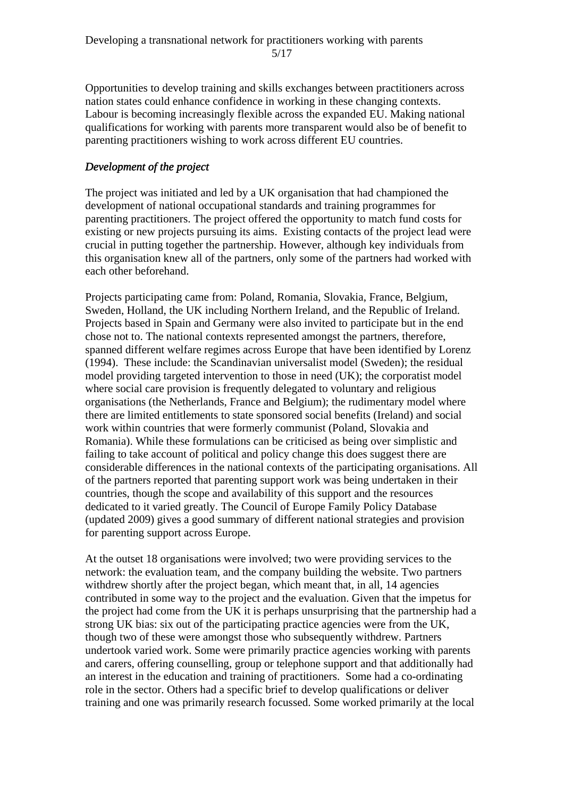Opportunities to develop training and skills exchanges between practitioners across nation states could enhance confidence in working in these changing contexts. Labour is becoming increasingly flexible across the expanded EU. Making national qualifications for working with parents more transparent would also be of benefit to parenting practitioners wishing to work across different EU countries.

# *Development of the project*

The project was initiated and led by a UK organisation that had championed the development of national occupational standards and training programmes for parenting practitioners. The project offered the opportunity to match fund costs for existing or new projects pursuing its aims. Existing contacts of the project lead were crucial in putting together the partnership. However, although key individuals from this organisation knew all of the partners, only some of the partners had worked with each other beforehand.

Projects participating came from: Poland, Romania, Slovakia, France, Belgium, Sweden, Holland, the UK including Northern Ireland, and the Republic of Ireland. Projects based in Spain and Germany were also invited to participate but in the end chose not to. The national contexts represented amongst the partners, therefore, spanned different welfare regimes across Europe that have been identified by Lorenz (1994). These include: the Scandinavian universalist model (Sweden); the residual model providing targeted intervention to those in need (UK); the corporatist model where social care provision is frequently delegated to voluntary and religious organisations (the Netherlands, France and Belgium); the rudimentary model where there are limited entitlements to state sponsored social benefits (Ireland) and social work within countries that were formerly communist (Poland, Slovakia and Romania). While these formulations can be criticised as being over simplistic and failing to take account of political and policy change this does suggest there are considerable differences in the national contexts of the participating organisations. All of the partners reported that parenting support work was being undertaken in their countries, though the scope and availability of this support and the resources dedicated to it varied greatly. The Council of Europe Family Policy Database (updated 2009) gives a good summary of different national strategies and provision for parenting support across Europe.

At the outset 18 organisations were involved; two were providing services to the network: the evaluation team, and the company building the website. Two partners withdrew shortly after the project began, which meant that, in all, 14 agencies contributed in some way to the project and the evaluation. Given that the impetus for the project had come from the UK it is perhaps unsurprising that the partnership had a strong UK bias: six out of the participating practice agencies were from the UK, though two of these were amongst those who subsequently withdrew. Partners undertook varied work. Some were primarily practice agencies working with parents and carers, offering counselling, group or telephone support and that additionally had an interest in the education and training of practitioners. Some had a co-ordinating role in the sector. Others had a specific brief to develop qualifications or deliver training and one was primarily research focussed. Some worked primarily at the local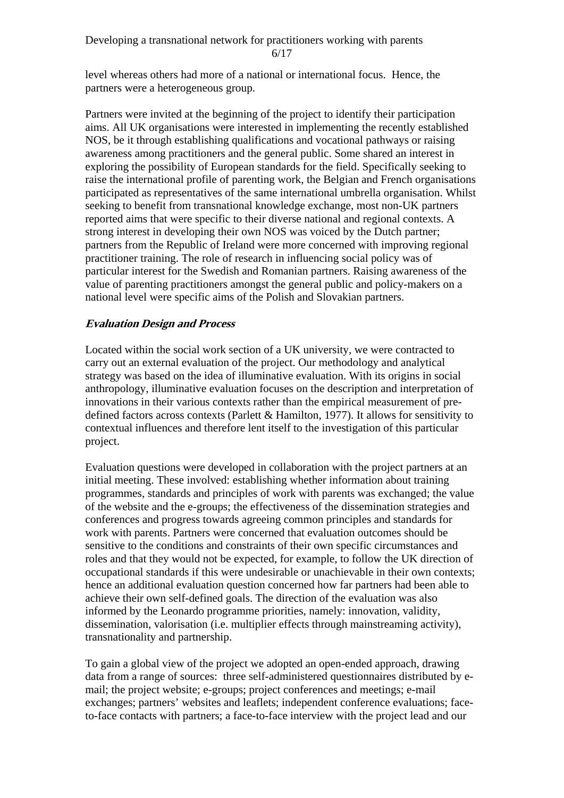level whereas others had more of a national or international focus. Hence, the partners were a heterogeneous group.

Partners were invited at the beginning of the project to identify their participation aims. All UK organisations were interested in implementing the recently established NOS, be it through establishing qualifications and vocational pathways or raising awareness among practitioners and the general public. Some shared an interest in exploring the possibility of European standards for the field. Specifically seeking to raise the international profile of parenting work, the Belgian and French organisations participated as representatives of the same international umbrella organisation. Whilst seeking to benefit from transnational knowledge exchange, most non-UK partners reported aims that were specific to their diverse national and regional contexts. A strong interest in developing their own NOS was voiced by the Dutch partner; partners from the Republic of Ireland were more concerned with improving regional practitioner training. The role of research in influencing social policy was of particular interest for the Swedish and Romanian partners. Raising awareness of the value of parenting practitioners amongst the general public and policy-makers on a national level were specific aims of the Polish and Slovakian partners.

# **Evaluation Design and Process**

Located within the social work section of a UK university, we were contracted to carry out an external evaluation of the project. Our methodology and analytical strategy was based on the idea of illuminative evaluation. With its origins in social anthropology, illuminative evaluation focuses on the description and interpretation of innovations in their various contexts rather than the empirical measurement of predefined factors across contexts (Parlett & Hamilton, 1977). It allows for sensitivity to contextual influences and therefore lent itself to the investigation of this particular project.

Evaluation questions were developed in collaboration with the project partners at an initial meeting. These involved: establishing whether information about training programmes, standards and principles of work with parents was exchanged; the value of the website and the e-groups; the effectiveness of the dissemination strategies and conferences and progress towards agreeing common principles and standards for work with parents. Partners were concerned that evaluation outcomes should be sensitive to the conditions and constraints of their own specific circumstances and roles and that they would not be expected, for example, to follow the UK direction of occupational standards if this were undesirable or unachievable in their own contexts; hence an additional evaluation question concerned how far partners had been able to achieve their own self-defined goals. The direction of the evaluation was also informed by the Leonardo programme priorities, namely: innovation, validity, dissemination, valorisation (i.e. multiplier effects through mainstreaming activity), transnationality and partnership.

To gain a global view of the project we adopted an open-ended approach, drawing data from a range of sources: three self-administered questionnaires distributed by email; the project website; e-groups; project conferences and meetings; e-mail exchanges; partners' websites and leaflets; independent conference evaluations; faceto-face contacts with partners; a face-to-face interview with the project lead and our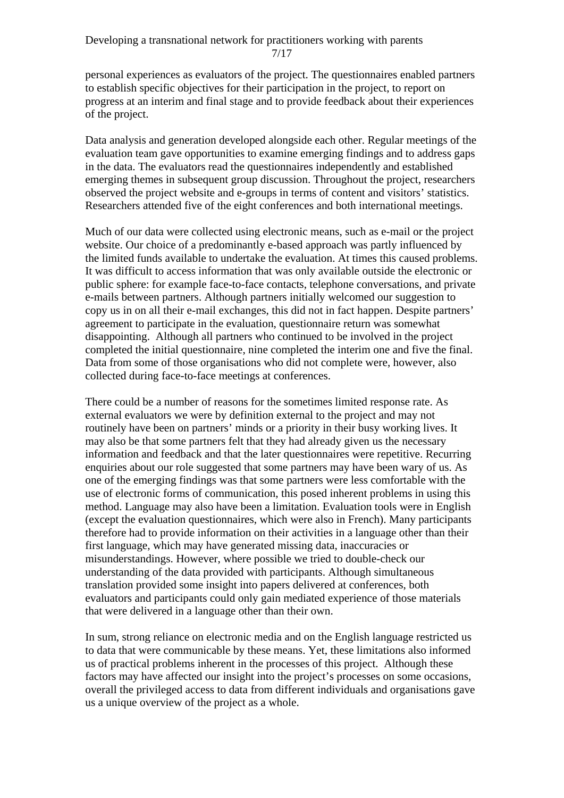personal experiences as evaluators of the project. The questionnaires enabled partners to establish specific objectives for their participation in the project, to report on progress at an interim and final stage and to provide feedback about their experiences of the project.

Data analysis and generation developed alongside each other. Regular meetings of the evaluation team gave opportunities to examine emerging findings and to address gaps in the data. The evaluators read the questionnaires independently and established emerging themes in subsequent group discussion. Throughout the project, researchers observed the project website and e-groups in terms of content and visitors' statistics. Researchers attended five of the eight conferences and both international meetings.

Much of our data were collected using electronic means, such as e-mail or the project website. Our choice of a predominantly e-based approach was partly influenced by the limited funds available to undertake the evaluation. At times this caused problems. It was difficult to access information that was only available outside the electronic or public sphere: for example face-to-face contacts, telephone conversations, and private e-mails between partners. Although partners initially welcomed our suggestion to copy us in on all their e-mail exchanges, this did not in fact happen. Despite partners' agreement to participate in the evaluation, questionnaire return was somewhat disappointing. Although all partners who continued to be involved in the project completed the initial questionnaire, nine completed the interim one and five the final. Data from some of those organisations who did not complete were, however, also collected during face-to-face meetings at conferences.

There could be a number of reasons for the sometimes limited response rate. As external evaluators we were by definition external to the project and may not routinely have been on partners' minds or a priority in their busy working lives. It may also be that some partners felt that they had already given us the necessary information and feedback and that the later questionnaires were repetitive. Recurring enquiries about our role suggested that some partners may have been wary of us. As one of the emerging findings was that some partners were less comfortable with the use of electronic forms of communication, this posed inherent problems in using this method. Language may also have been a limitation. Evaluation tools were in English (except the evaluation questionnaires, which were also in French). Many participants therefore had to provide information on their activities in a language other than their first language, which may have generated missing data, inaccuracies or misunderstandings. However, where possible we tried to double-check our understanding of the data provided with participants. Although simultaneous translation provided some insight into papers delivered at conferences, both evaluators and participants could only gain mediated experience of those materials that were delivered in a language other than their own.

In sum, strong reliance on electronic media and on the English language restricted us to data that were communicable by these means. Yet, these limitations also informed us of practical problems inherent in the processes of this project. Although these factors may have affected our insight into the project's processes on some occasions, overall the privileged access to data from different individuals and organisations gave us a unique overview of the project as a whole.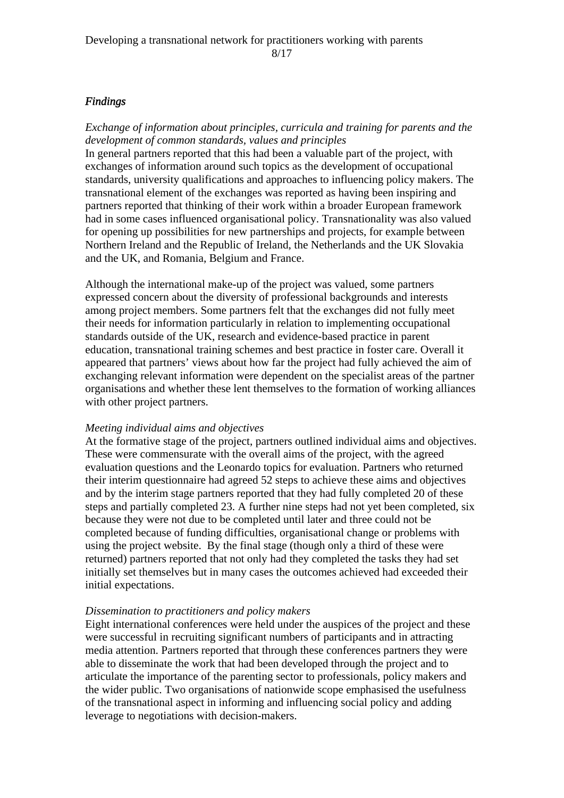# *Findings*

# *Exchange of information about principles, curricula and training for parents and the development of common standards, values and principles*

In general partners reported that this had been a valuable part of the project, with exchanges of information around such topics as the development of occupational standards, university qualifications and approaches to influencing policy makers. The transnational element of the exchanges was reported as having been inspiring and partners reported that thinking of their work within a broader European framework had in some cases influenced organisational policy. Transnationality was also valued for opening up possibilities for new partnerships and projects, for example between Northern Ireland and the Republic of Ireland, the Netherlands and the UK Slovakia and the UK, and Romania, Belgium and France.

Although the international make-up of the project was valued, some partners expressed concern about the diversity of professional backgrounds and interests among project members. Some partners felt that the exchanges did not fully meet their needs for information particularly in relation to implementing occupational standards outside of the UK, research and evidence-based practice in parent education, transnational training schemes and best practice in foster care. Overall it appeared that partners' views about how far the project had fully achieved the aim of exchanging relevant information were dependent on the specialist areas of the partner organisations and whether these lent themselves to the formation of working alliances with other project partners.

#### *Meeting individual aims and objectives*

At the formative stage of the project, partners outlined individual aims and objectives. These were commensurate with the overall aims of the project, with the agreed evaluation questions and the Leonardo topics for evaluation. Partners who returned their interim questionnaire had agreed 52 steps to achieve these aims and objectives and by the interim stage partners reported that they had fully completed 20 of these steps and partially completed 23. A further nine steps had not yet been completed, six because they were not due to be completed until later and three could not be completed because of funding difficulties, organisational change or problems with using the project website. By the final stage (though only a third of these were returned) partners reported that not only had they completed the tasks they had set initially set themselves but in many cases the outcomes achieved had exceeded their initial expectations.

#### *Dissemination to practitioners and policy makers*

Eight international conferences were held under the auspices of the project and these were successful in recruiting significant numbers of participants and in attracting media attention. Partners reported that through these conferences partners they were able to disseminate the work that had been developed through the project and to articulate the importance of the parenting sector to professionals, policy makers and the wider public. Two organisations of nationwide scope emphasised the usefulness of the transnational aspect in informing and influencing social policy and adding leverage to negotiations with decision-makers.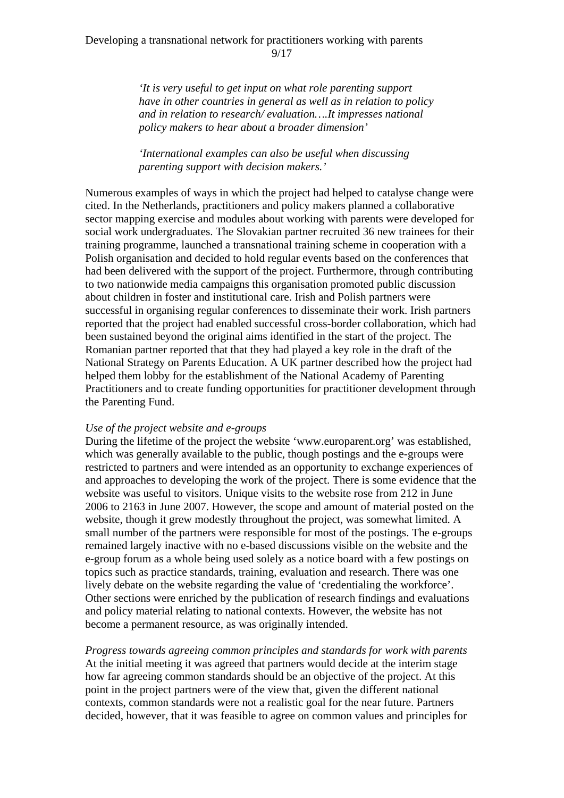# Developing a transnational network for practitioners working with parents 9/17

*'It is very useful to get input on what role parenting support have in other countries in general as well as in relation to policy and in relation to research/ evaluation….It impresses national policy makers to hear about a broader dimension'* 

*'International examples can also be useful when discussing parenting support with decision makers.'* 

Numerous examples of ways in which the project had helped to catalyse change were cited. In the Netherlands, practitioners and policy makers planned a collaborative sector mapping exercise and modules about working with parents were developed for social work undergraduates. The Slovakian partner recruited 36 new trainees for their training programme, launched a transnational training scheme in cooperation with a Polish organisation and decided to hold regular events based on the conferences that had been delivered with the support of the project. Furthermore, through contributing to two nationwide media campaigns this organisation promoted public discussion about children in foster and institutional care. Irish and Polish partners were successful in organising regular conferences to disseminate their work. Irish partners reported that the project had enabled successful cross-border collaboration, which had been sustained beyond the original aims identified in the start of the project. The Romanian partner reported that that they had played a key role in the draft of the National Strategy on Parents Education. A UK partner described how the project had helped them lobby for the establishment of the National Academy of Parenting Practitioners and to create funding opportunities for practitioner development through the Parenting Fund.

#### *Use of the project website and e-groups*

During the lifetime of the project the website 'www.europarent.org' was established, which was generally available to the public, though postings and the e-groups were restricted to partners and were intended as an opportunity to exchange experiences of and approaches to developing the work of the project. There is some evidence that the website was useful to visitors. Unique visits to the website rose from 212 in June 2006 to 2163 in June 2007. However, the scope and amount of material posted on the website, though it grew modestly throughout the project, was somewhat limited. A small number of the partners were responsible for most of the postings. The e-groups remained largely inactive with no e-based discussions visible on the website and the e-group forum as a whole being used solely as a notice board with a few postings on topics such as practice standards, training, evaluation and research. There was one lively debate on the website regarding the value of 'credentialing the workforce'. Other sections were enriched by the publication of research findings and evaluations and policy material relating to national contexts. However, the website has not become a permanent resource, as was originally intended.

*Progress towards agreeing common principles and standards for work with parents*  At the initial meeting it was agreed that partners would decide at the interim stage how far agreeing common standards should be an objective of the project. At this point in the project partners were of the view that, given the different national contexts, common standards were not a realistic goal for the near future. Partners decided, however, that it was feasible to agree on common values and principles for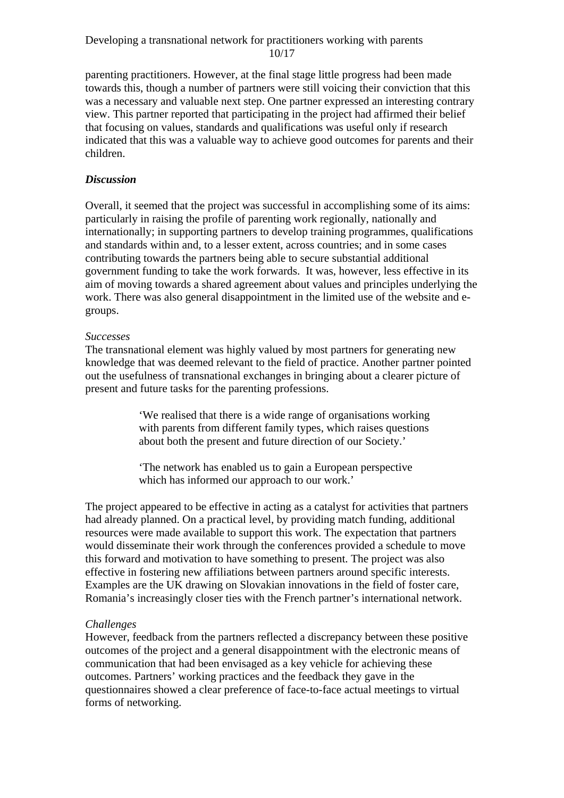# Developing a transnational network for practitioners working with parents 10/17

parenting practitioners. However, at the final stage little progress had been made towards this, though a number of partners were still voicing their conviction that this was a necessary and valuable next step. One partner expressed an interesting contrary view. This partner reported that participating in the project had affirmed their belief that focusing on values, standards and qualifications was useful only if research indicated that this was a valuable way to achieve good outcomes for parents and their children.

# *Discussion*

Overall, it seemed that the project was successful in accomplishing some of its aims: particularly in raising the profile of parenting work regionally, nationally and internationally; in supporting partners to develop training programmes, qualifications and standards within and, to a lesser extent, across countries; and in some cases contributing towards the partners being able to secure substantial additional government funding to take the work forwards. It was, however, less effective in its aim of moving towards a shared agreement about values and principles underlying the work. There was also general disappointment in the limited use of the website and egroups.

### *Successes*

The transnational element was highly valued by most partners for generating new knowledge that was deemed relevant to the field of practice. Another partner pointed out the usefulness of transnational exchanges in bringing about a clearer picture of present and future tasks for the parenting professions.

> 'We realised that there is a wide range of organisations working with parents from different family types, which raises questions about both the present and future direction of our Society.'

'The network has enabled us to gain a European perspective which has informed our approach to our work.'

The project appeared to be effective in acting as a catalyst for activities that partners had already planned. On a practical level, by providing match funding, additional resources were made available to support this work. The expectation that partners would disseminate their work through the conferences provided a schedule to move this forward and motivation to have something to present. The project was also effective in fostering new affiliations between partners around specific interests. Examples are the UK drawing on Slovakian innovations in the field of foster care, Romania's increasingly closer ties with the French partner's international network.

### *Challenges*

However, feedback from the partners reflected a discrepancy between these positive outcomes of the project and a general disappointment with the electronic means of communication that had been envisaged as a key vehicle for achieving these outcomes. Partners' working practices and the feedback they gave in the questionnaires showed a clear preference of face-to-face actual meetings to virtual forms of networking.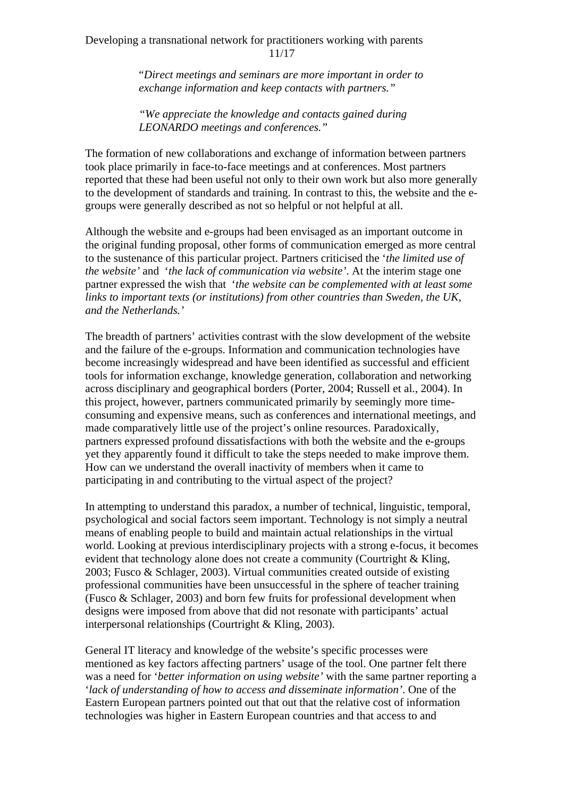## Developing a transnational network for practitioners working with parents 11/17

"*Direct meetings and seminars are more important in order to exchange information and keep contacts with partners."* 

*"We appreciate the knowledge and contacts gained during LEONARDO meetings and conferences."* 

The formation of new collaborations and exchange of information between partners took place primarily in face-to-face meetings and at conferences. Most partners reported that these had been useful not only to their own work but also more generally to the development of standards and training. In contrast to this, the website and the egroups were generally described as not so helpful or not helpful at all.

Although the website and e-groups had been envisaged as an important outcome in the original funding proposal, other forms of communication emerged as more central to the sustenance of this particular project. Partners criticised the '*the limited use of the website'* and '*the lack of communication via website'*. At the interim stage one partner expressed the wish that '*the website can be complemented with at least some links to important texts (or institutions) from other countries than Sweden, the UK, and the Netherlands.'* 

The breadth of partners' activities contrast with the slow development of the website and the failure of the e-groups. Information and communication technologies have become increasingly widespread and have been identified as successful and efficient tools for information exchange, knowledge generation, collaboration and networking across disciplinary and geographical borders (Porter, 2004; Russell et al., 2004). In this project, however, partners communicated primarily by seemingly more timeconsuming and expensive means, such as conferences and international meetings, and made comparatively little use of the project's online resources. Paradoxically, partners expressed profound dissatisfactions with both the website and the e-groups yet they apparently found it difficult to take the steps needed to make improve them. How can we understand the overall inactivity of members when it came to participating in and contributing to the virtual aspect of the project?

In attempting to understand this paradox, a number of technical, linguistic, temporal, psychological and social factors seem important. Technology is not simply a neutral means of enabling people to build and maintain actual relationships in the virtual world. Looking at previous interdisciplinary projects with a strong e-focus, it becomes evident that technology alone does not create a community (Courtright & Kling, 2003; Fusco & Schlager, 2003). Virtual communities created outside of existing professional communities have been unsuccessful in the sphere of teacher training (Fusco & Schlager, 2003) and born few fruits for professional development when designs were imposed from above that did not resonate with participants' actual interpersonal relationships (Courtright & Kling, 2003).

General IT literacy and knowledge of the website's specific processes were mentioned as key factors affecting partners' usage of the tool. One partner felt there was a need for '*better information on using website'* with the same partner reporting a '*lack of understanding of how to access and disseminate information'*. One of the Eastern European partners pointed out that out that the relative cost of information technologies was higher in Eastern European countries and that access to and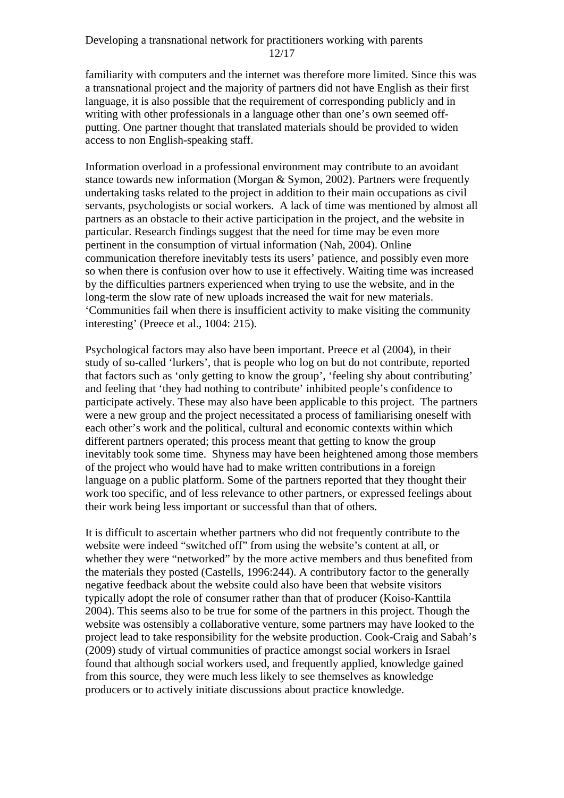## Developing a transnational network for practitioners working with parents 12/17

familiarity with computers and the internet was therefore more limited. Since this was a transnational project and the majority of partners did not have English as their first language, it is also possible that the requirement of corresponding publicly and in writing with other professionals in a language other than one's own seemed offputting. One partner thought that translated materials should be provided to widen access to non English-speaking staff.

Information overload in a professional environment may contribute to an avoidant stance towards new information (Morgan & Symon, 2002). Partners were frequently undertaking tasks related to the project in addition to their main occupations as civil servants, psychologists or social workers. A lack of time was mentioned by almost all partners as an obstacle to their active participation in the project, and the website in particular. Research findings suggest that the need for time may be even more pertinent in the consumption of virtual information (Nah, 2004). Online communication therefore inevitably tests its users' patience, and possibly even more so when there is confusion over how to use it effectively. Waiting time was increased by the difficulties partners experienced when trying to use the website, and in the long-term the slow rate of new uploads increased the wait for new materials. 'Communities fail when there is insufficient activity to make visiting the community interesting' (Preece et al., 1004: 215).

Psychological factors may also have been important. Preece et al (2004), in their study of so-called 'lurkers', that is people who log on but do not contribute, reported that factors such as 'only getting to know the group', 'feeling shy about contributing' and feeling that 'they had nothing to contribute' inhibited people's confidence to participate actively. These may also have been applicable to this project. The partners were a new group and the project necessitated a process of familiarising oneself with each other's work and the political, cultural and economic contexts within which different partners operated; this process meant that getting to know the group inevitably took some time. Shyness may have been heightened among those members of the project who would have had to make written contributions in a foreign language on a public platform. Some of the partners reported that they thought their work too specific, and of less relevance to other partners, or expressed feelings about their work being less important or successful than that of others.

It is difficult to ascertain whether partners who did not frequently contribute to the website were indeed "switched off" from using the website's content at all, or whether they were "networked" by the more active members and thus benefited from the materials they posted (Castells, 1996:244). A contributory factor to the generally negative feedback about the website could also have been that website visitors typically adopt the role of consumer rather than that of producer (Koiso-Kanttila 2004). This seems also to be true for some of the partners in this project. Though the website was ostensibly a collaborative venture, some partners may have looked to the project lead to take responsibility for the website production. Cook-Craig and Sabah's (2009) study of virtual communities of practice amongst social workers in Israel found that although social workers used, and frequently applied, knowledge gained from this source, they were much less likely to see themselves as knowledge producers or to actively initiate discussions about practice knowledge.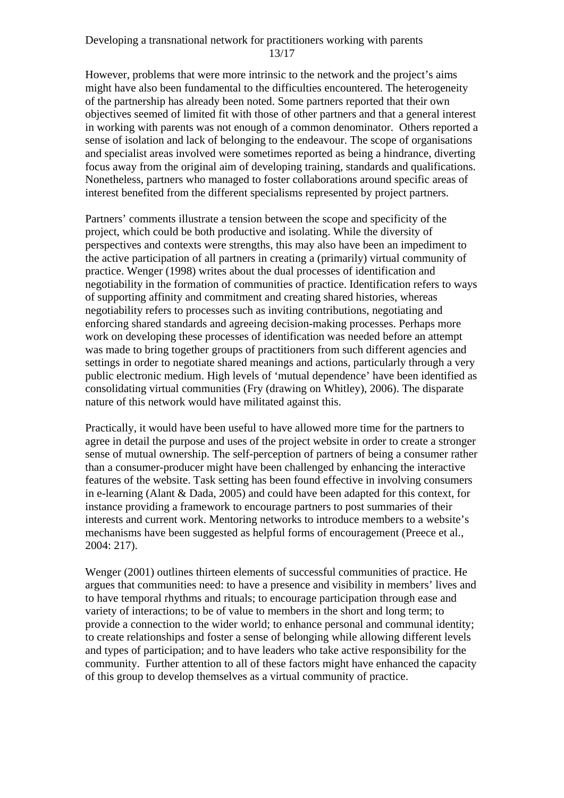## Developing a transnational network for practitioners working with parents 13/17

However, problems that were more intrinsic to the network and the project's aims might have also been fundamental to the difficulties encountered. The heterogeneity of the partnership has already been noted. Some partners reported that their own objectives seemed of limited fit with those of other partners and that a general interest in working with parents was not enough of a common denominator. Others reported a sense of isolation and lack of belonging to the endeavour. The scope of organisations and specialist areas involved were sometimes reported as being a hindrance, diverting focus away from the original aim of developing training, standards and qualifications. Nonetheless, partners who managed to foster collaborations around specific areas of interest benefited from the different specialisms represented by project partners.

Partners' comments illustrate a tension between the scope and specificity of the project, which could be both productive and isolating. While the diversity of perspectives and contexts were strengths, this may also have been an impediment to the active participation of all partners in creating a (primarily) virtual community of practice. Wenger (1998) writes about the dual processes of identification and negotiability in the formation of communities of practice. Identification refers to ways of supporting affinity and commitment and creating shared histories, whereas negotiability refers to processes such as inviting contributions, negotiating and enforcing shared standards and agreeing decision-making processes. Perhaps more work on developing these processes of identification was needed before an attempt was made to bring together groups of practitioners from such different agencies and settings in order to negotiate shared meanings and actions, particularly through a very public electronic medium. High levels of 'mutual dependence' have been identified as consolidating virtual communities (Fry (drawing on Whitley), 2006). The disparate nature of this network would have militated against this.

Practically, it would have been useful to have allowed more time for the partners to agree in detail the purpose and uses of the project website in order to create a stronger sense of mutual ownership. The self-perception of partners of being a consumer rather than a consumer-producer might have been challenged by enhancing the interactive features of the website. Task setting has been found effective in involving consumers in e-learning (Alant & Dada, 2005) and could have been adapted for this context, for instance providing a framework to encourage partners to post summaries of their interests and current work. Mentoring networks to introduce members to a website's mechanisms have been suggested as helpful forms of encouragement (Preece et al., 2004: 217).

Wenger (2001) outlines thirteen elements of successful communities of practice. He argues that communities need: to have a presence and visibility in members' lives and to have temporal rhythms and rituals; to encourage participation through ease and variety of interactions; to be of value to members in the short and long term; to provide a connection to the wider world; to enhance personal and communal identity; to create relationships and foster a sense of belonging while allowing different levels and types of participation; and to have leaders who take active responsibility for the community. Further attention to all of these factors might have enhanced the capacity of this group to develop themselves as a virtual community of practice.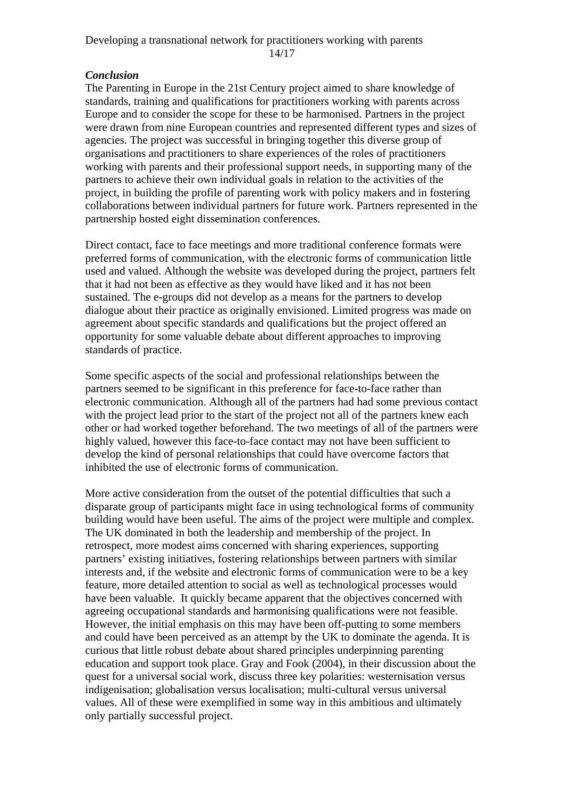# Developing a transnational network for practitioners working with parents 14/17

# *Conclusion*

The Parenting in Europe in the 21st Century project aimed to share knowledge of standards, training and qualifications for practitioners working with parents across Europe and to consider the scope for these to be harmonised. Partners in the project were drawn from nine European countries and represented different types and sizes of agencies. The project was successful in bringing together this diverse group of organisations and practitioners to share experiences of the roles of practitioners working with parents and their professional support needs, in supporting many of the partners to achieve their own individual goals in relation to the activities of the project, in building the profile of parenting work with policy makers and in fostering collaborations between individual partners for future work. Partners represented in the partnership hosted eight dissemination conferences.

Direct contact, face to face meetings and more traditional conference formats were preferred forms of communication, with the electronic forms of communication little used and valued. Although the website was developed during the project, partners felt that it had not been as effective as they would have liked and it has not been sustained. The e-groups did not develop as a means for the partners to develop dialogue about their practice as originally envisioned. Limited progress was made on agreement about specific standards and qualifications but the project offered an opportunity for some valuable debate about different approaches to improving standards of practice.

Some specific aspects of the social and professional relationships between the partners seemed to be significant in this preference for face-to-face rather than electronic communication. Although all of the partners had had some previous contact with the project lead prior to the start of the project not all of the partners knew each other or had worked together beforehand. The two meetings of all of the partners were highly valued, however this face-to-face contact may not have been sufficient to develop the kind of personal relationships that could have overcome factors that inhibited the use of electronic forms of communication.

More active consideration from the outset of the potential difficulties that such a disparate group of participants might face in using technological forms of community building would have been useful. The aims of the project were multiple and complex. The UK dominated in both the leadership and membership of the project. In retrospect, more modest aims concerned with sharing experiences, supporting partners' existing initiatives, fostering relationships between partners with similar interests and, if the website and electronic forms of communication were to be a key feature, more detailed attention to social as well as technological processes would have been valuable. It quickly became apparent that the objectives concerned with agreeing occupational standards and harmonising qualifications were not feasible. However, the initial emphasis on this may have been off-putting to some members and could have been perceived as an attempt by the UK to dominate the agenda. It is curious that little robust debate about shared principles underpinning parenting education and support took place. Gray and Fook (2004), in their discussion about the quest for a universal social work, discuss three key polarities: westernisation versus indigenisation; globalisation versus localisation; multi-cultural versus universal values. All of these were exemplified in some way in this ambitious and ultimately only partially successful project.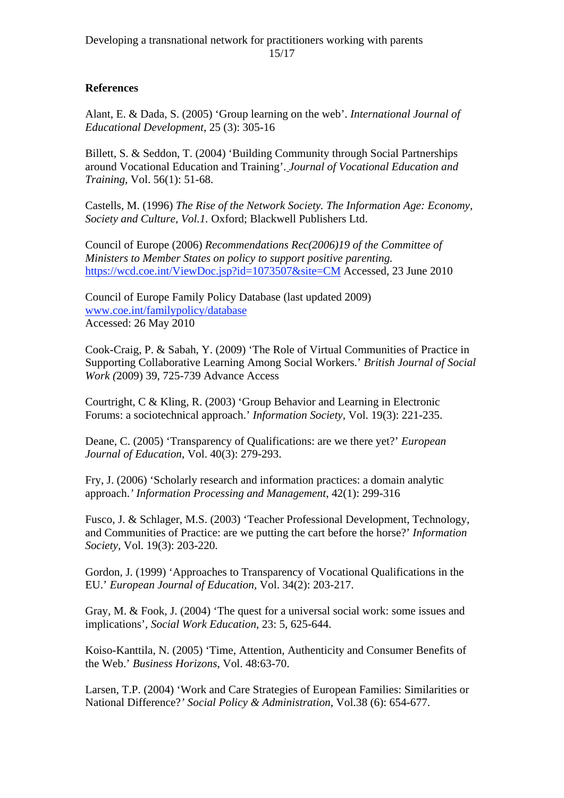# Developing a transnational network for practitioners working with parents 15/17

## **References**

Alant, E. & Dada, S. (2005) 'Group learning on the web'. *International Journal of Educational Development*, 25 (3): 305-16

Billett, S. & Seddon, T. (2004) 'Building Community through Social Partnerships around Vocational Education and Training'. *Journal of Vocational Education and Training,* Vol. 56(1): 51-68.

Castells, M. (1996) *The Rise of the Network Society. The Information Age: Economy, Society and Culture, Vol.1.* Oxford; Blackwell Publishers Ltd.

Council of Europe (2006) *Recommendations Rec(2006)19 of the Committee of Ministers to Member States on policy to support positive parenting.* https://wcd.coe.int/ViewDoc.jsp?id=1073507&site=CM Accessed, 23 June 2010

Council of Europe Family Policy Database (last updated 2009) www.coe.int/familypolicy/database Accessed: 26 May 2010

Cook-Craig, P. & Sabah, Y. (2009) 'The Role of Virtual Communities of Practice in Supporting Collaborative Learning Among Social Workers.' *British Journal of Social Work (*2009) 39, 725-739 Advance Access

Courtright, C & Kling, R. (2003) 'Group Behavior and Learning in Electronic Forums: a sociotechnical approach.' *Information Society,* Vol. 19(3): 221-235.

Deane, C. (2005) 'Transparency of Qualifications: are we there yet?' *European Journal of Education*, Vol. 40(3): 279-293.

Fry, J. (2006) 'Scholarly research and information practices: a domain analytic approach.*' Information Processing and Management*, 42(1): 299-316

Fusco, J. & Schlager, M.S. (2003) 'Teacher Professional Development, Technology, and Communities of Practice: are we putting the cart before the horse?' *Information Society,* Vol. 19(3): 203-220.

Gordon, J. (1999) 'Approaches to Transparency of Vocational Qualifications in the EU.' *European Journal of Education,* Vol. 34(2): 203-217.

Gray, M. & Fook, J. (2004) 'The quest for a universal social work: some issues and implications', *Social Work Education*, 23: 5, 625-644.

Koiso-Kanttila, N. (2005) 'Time, Attention, Authenticity and Consumer Benefits of the Web.' *Business Horizons*, Vol. 48:63-70.

Larsen, T.P. (2004) 'Work and Care Strategies of European Families: Similarities or National Difference?*' Social Policy & Administration*, Vol.38 (6): 654-677.